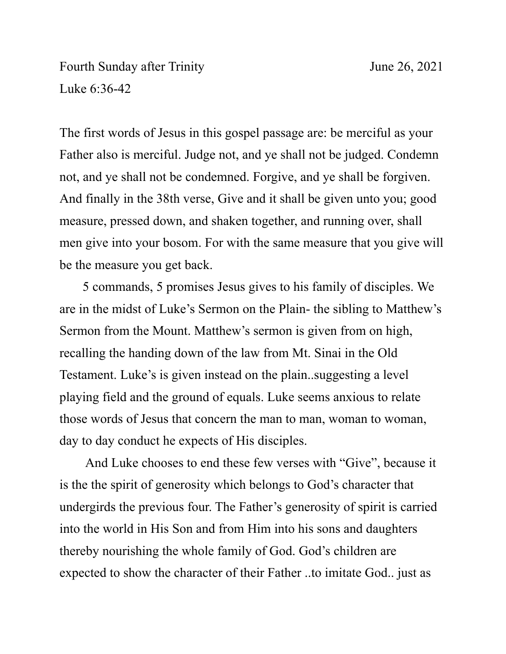Fourth Sunday after Trinity June 26, 2021 Luke 6:36-42

The first words of Jesus in this gospel passage are: be merciful as your Father also is merciful. Judge not, and ye shall not be judged. Condemn not, and ye shall not be condemned. Forgive, and ye shall be forgiven. And finally in the 38th verse, Give and it shall be given unto you; good measure, pressed down, and shaken together, and running over, shall men give into your bosom. For with the same measure that you give will be the measure you get back.

 5 commands, 5 promises Jesus gives to his family of disciples. We are in the midst of Luke's Sermon on the Plain- the sibling to Matthew's Sermon from the Mount. Matthew's sermon is given from on high, recalling the handing down of the law from Mt. Sinai in the Old Testament. Luke's is given instead on the plain..suggesting a level playing field and the ground of equals. Luke seems anxious to relate those words of Jesus that concern the man to man, woman to woman, day to day conduct he expects of His disciples.

 And Luke chooses to end these few verses with "Give", because it is the the spirit of generosity which belongs to God's character that undergirds the previous four. The Father's generosity of spirit is carried into the world in His Son and from Him into his sons and daughters thereby nourishing the whole family of God. God's children are expected to show the character of their Father ..to imitate God.. just as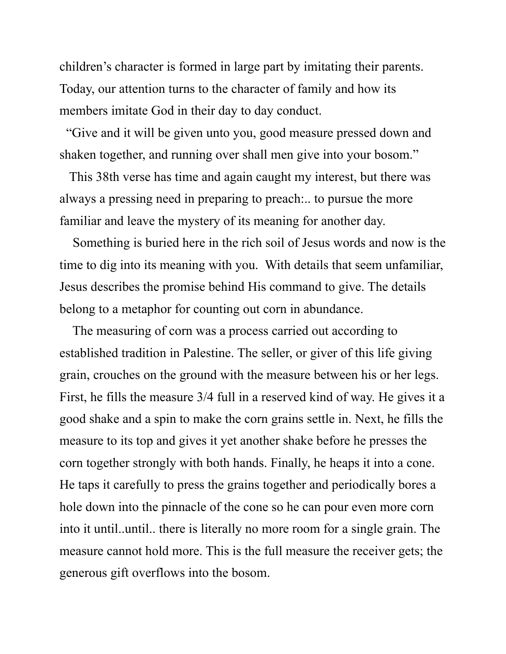children's character is formed in large part by imitating their parents. Today, our attention turns to the character of family and how its members imitate God in their day to day conduct.

 "Give and it will be given unto you, good measure pressed down and shaken together, and running over shall men give into your bosom."

 This 38th verse has time and again caught my interest, but there was always a pressing need in preparing to preach:.. to pursue the more familiar and leave the mystery of its meaning for another day.

 Something is buried here in the rich soil of Jesus words and now is the time to dig into its meaning with you. With details that seem unfamiliar, Jesus describes the promise behind His command to give. The details belong to a metaphor for counting out corn in abundance.

 The measuring of corn was a process carried out according to established tradition in Palestine. The seller, or giver of this life giving grain, crouches on the ground with the measure between his or her legs. First, he fills the measure 3/4 full in a reserved kind of way. He gives it a good shake and a spin to make the corn grains settle in. Next, he fills the measure to its top and gives it yet another shake before he presses the corn together strongly with both hands. Finally, he heaps it into a cone. He taps it carefully to press the grains together and periodically bores a hole down into the pinnacle of the cone so he can pour even more corn into it until..until.. there is literally no more room for a single grain. The measure cannot hold more. This is the full measure the receiver gets; the generous gift overflows into the bosom.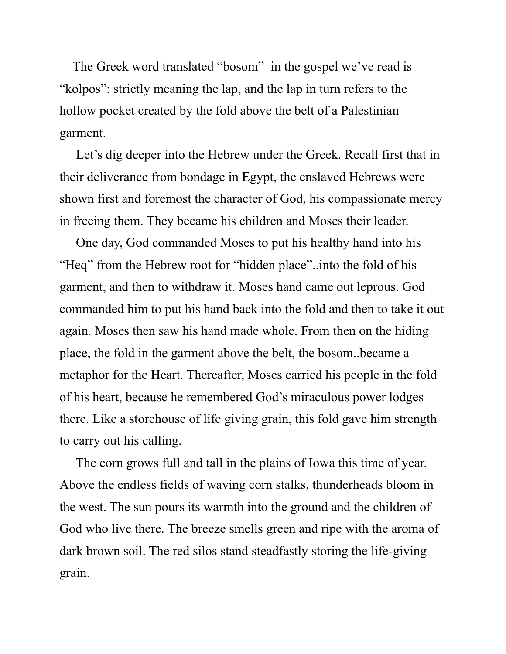The Greek word translated "bosom" in the gospel we've read is "kolpos": strictly meaning the lap, and the lap in turn refers to the hollow pocket created by the fold above the belt of a Palestinian garment.

 Let's dig deeper into the Hebrew under the Greek. Recall first that in their deliverance from bondage in Egypt, the enslaved Hebrews were shown first and foremost the character of God, his compassionate mercy in freeing them. They became his children and Moses their leader.

 One day, God commanded Moses to put his healthy hand into his "Heq" from the Hebrew root for "hidden place"..into the fold of his garment, and then to withdraw it. Moses hand came out leprous. God commanded him to put his hand back into the fold and then to take it out again. Moses then saw his hand made whole. From then on the hiding place, the fold in the garment above the belt, the bosom..became a metaphor for the Heart. Thereafter, Moses carried his people in the fold of his heart, because he remembered God's miraculous power lodges there. Like a storehouse of life giving grain, this fold gave him strength to carry out his calling.

 The corn grows full and tall in the plains of Iowa this time of year. Above the endless fields of waving corn stalks, thunderheads bloom in the west. The sun pours its warmth into the ground and the children of God who live there. The breeze smells green and ripe with the aroma of dark brown soil. The red silos stand steadfastly storing the life-giving grain.